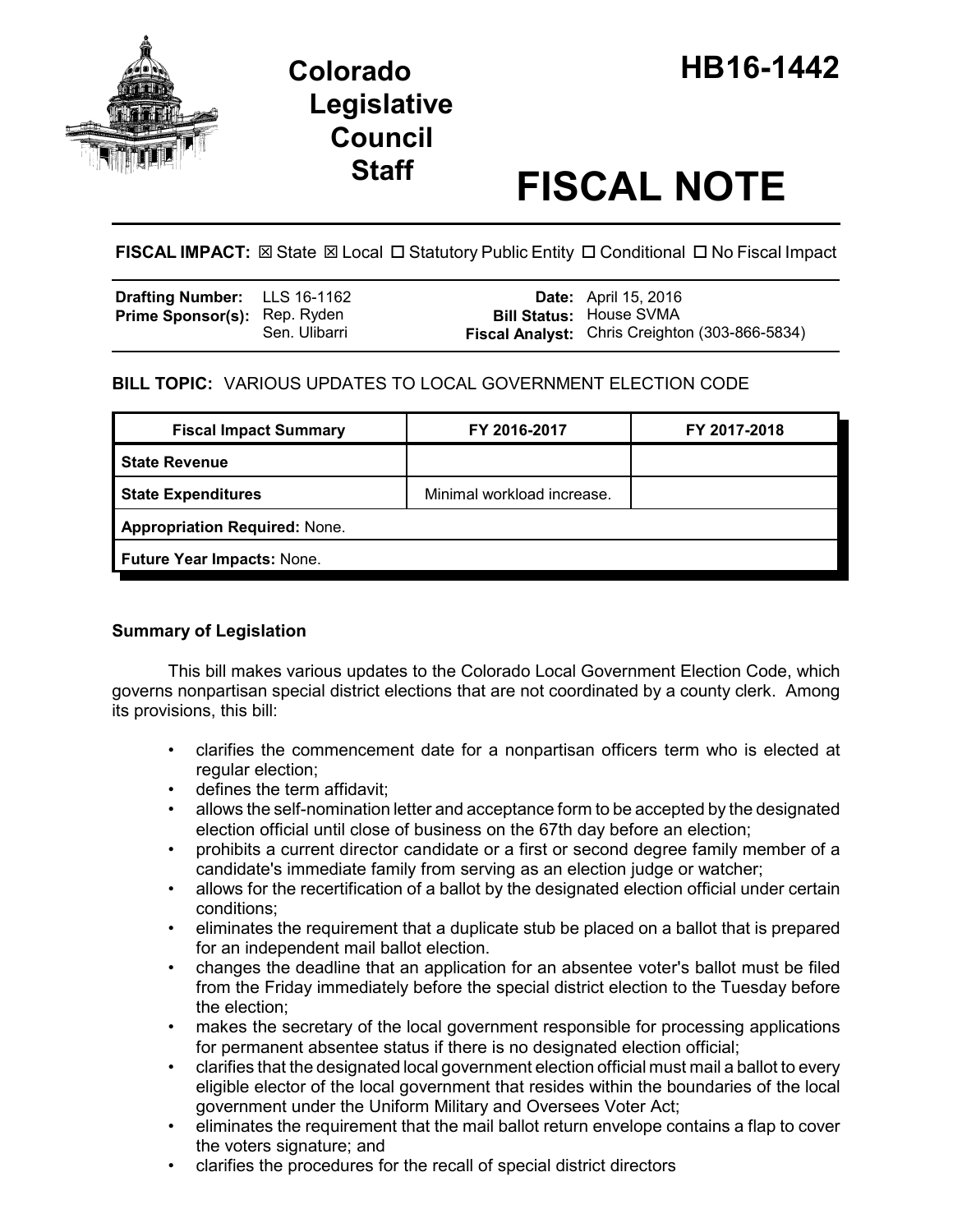

# **Legislative Council**

## **Staff FISCAL NOTE**

**FISCAL IMPACT:** ⊠ State ⊠ Local □ Statutory Public Entity □ Conditional □ No Fiscal Impact

| <b>Drafting Number:</b> LLS 16-1162 |               | <b>Date:</b> April 15, 2016                                                      |
|-------------------------------------|---------------|----------------------------------------------------------------------------------|
| <b>Prime Sponsor(s): Rep. Ryden</b> | Sen. Ulibarri | <b>Bill Status: House SVMA</b><br>Fiscal Analyst: Chris Creighton (303-866-5834) |
|                                     |               |                                                                                  |

### **BILL TOPIC:** VARIOUS UPDATES TO LOCAL GOVERNMENT ELECTION CODE

| <b>Fiscal Impact Summary</b>         | FY 2016-2017               | FY 2017-2018 |  |  |
|--------------------------------------|----------------------------|--------------|--|--|
| <b>State Revenue</b>                 |                            |              |  |  |
| <b>State Expenditures</b>            | Minimal workload increase. |              |  |  |
| <b>Appropriation Required: None.</b> |                            |              |  |  |
| Future Year Impacts: None.           |                            |              |  |  |
|                                      |                            |              |  |  |

#### **Summary of Legislation**

This bill makes various updates to the Colorado Local Government Election Code, which governs nonpartisan special district elections that are not coordinated by a county clerk. Among its provisions, this bill:

- clarifies the commencement date for a nonpartisan officers term who is elected at regular election;
- defines the term affidavit;
- allows the self-nomination letter and acceptance form to be accepted by the designated election official until close of business on the 67th day before an election;
- prohibits a current director candidate or a first or second degree family member of a candidate's immediate family from serving as an election judge or watcher;
- allows for the recertification of a ballot by the designated election official under certain conditions;
- eliminates the requirement that a duplicate stub be placed on a ballot that is prepared for an independent mail ballot election.
- changes the deadline that an application for an absentee voter's ballot must be filed from the Friday immediately before the special district election to the Tuesday before the election;
- makes the secretary of the local government responsible for processing applications for permanent absentee status if there is no designated election official;
- clarifies that the designated local government election official must mail a ballot to every eligible elector of the local government that resides within the boundaries of the local government under the Uniform Military and Oversees Voter Act;
- eliminates the requirement that the mail ballot return envelope contains a flap to cover the voters signature; and
- clarifies the procedures for the recall of special district directors